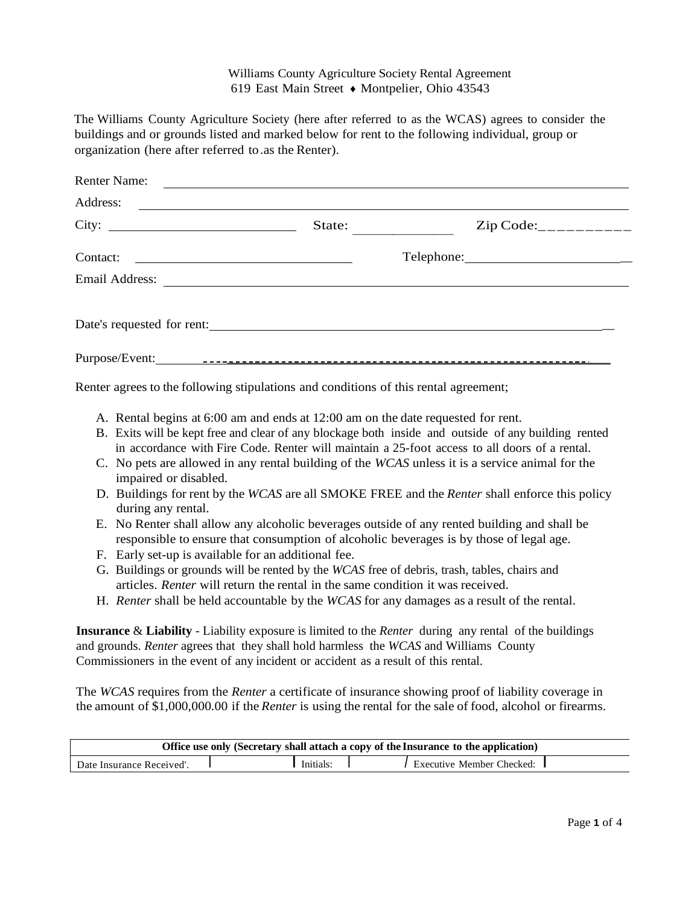## Williams County Agriculture Society Rental Agreement 619 East Main Street ♦ Montpelier, Ohio 43543

The Williams County Agriculture Society (here after referred to as the WCAS) agrees to consider the buildings and or grounds listed and marked below for rent to the following individual, group or organization (here after referred to.as the Renter).

| <b>Renter Name:</b>                                                                                                              |        |                         |  |
|----------------------------------------------------------------------------------------------------------------------------------|--------|-------------------------|--|
| Address:                                                                                                                         |        |                         |  |
|                                                                                                                                  | State: | $Zip Code:$ ___________ |  |
| Contact:<br><u> Alexandria de la contrada de la contrada de la contrada de la contrada de la contrada de la contrada de la c</u> |        |                         |  |
| Email Address:                                                                                                                   |        |                         |  |
| Date's requested for rent:                                                                                                       |        |                         |  |
|                                                                                                                                  |        |                         |  |

Renter agrees to the following stipulations and conditions of this rental agreement;

- A. Rental begins at 6:00 am and ends at 12:00 am on the date requested for rent.
- B. Exits will be kept free and clear of any blockage both inside and outside of any building rented in accordance with Fire Code. Renter will maintain a 25-foot access to all doors of a rental.
- C. No pets are allowed in any rental building of the *WCAS* unless it is a service animal for the impaired or disabled.
- D. Buildings for rent by the *WCAS* are all SMOKE FREE and the *Renter* shall enforce this policy during any rental.
- E. No Renter shall allow any alcoholic beverages outside of any rented building and shall be responsible to ensure that consumption of alcoholic beverages is by those of legal age.
- F. Early set-up is available for an additional fee.
- G. Buildings or grounds will be rented by the *WCAS* free of debris, trash, tables, chairs and articles. *Renter* will return the rental in the same condition it was received.
- H. *Renter* shall be held accountable by the *WCAS* for any damages as a result of the rental.

**Insurance** & **Liability** - Liability exposure is limited to the *Renter* during any rental of the buildings and grounds. *Renter* agrees that they shall hold harmless the *WCAS* and Williams County Commissioners in the event of any incident or accident as a result of this rental.

The *WCAS* requires from the *Renter* a certificate of insurance showing proof of liability coverage in the amount of \$1,000,000.00 if the *Renter* is using the rental for the sale of food, alcohol or firearms.

| Office use only (Secretary shall attach a copy of the Insurance to the application) |  |           |  |                                  |  |
|-------------------------------------------------------------------------------------|--|-----------|--|----------------------------------|--|
| Date Insurance Received'.                                                           |  | Initials: |  | <b>Executive Member Checked:</b> |  |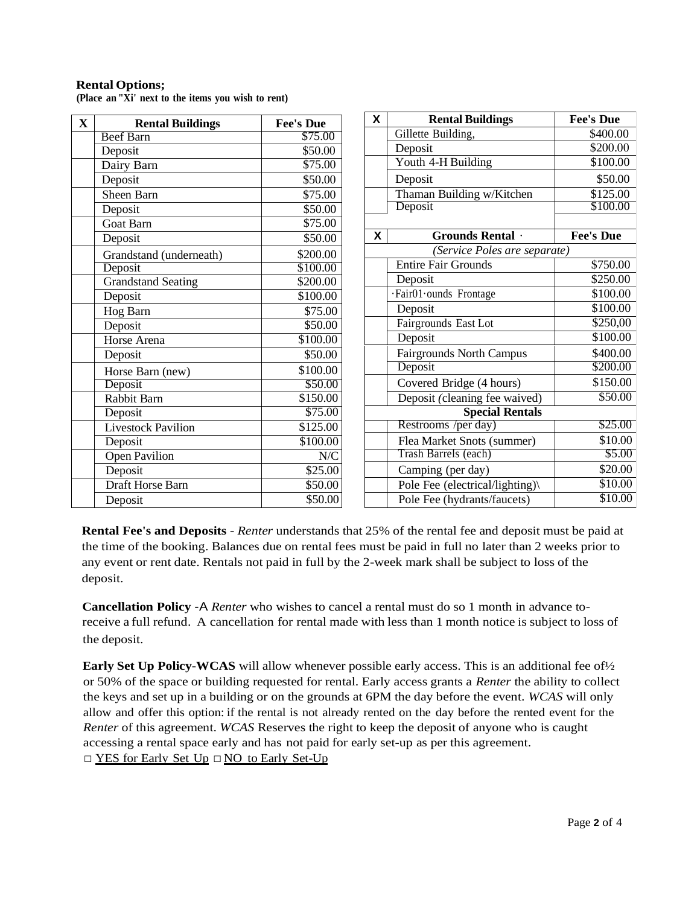## **Rental Options;**

**(Place an "Xi' next to the items you wish to rent)**

| $\mathbf X$ | <b>Rental Buildings</b>   | <b>Fee's Due</b>    | X                         | <b>Rental Buildings</b>         | <b>Fee's Due</b> |  |
|-------------|---------------------------|---------------------|---------------------------|---------------------------------|------------------|--|
|             | <b>Beef Barn</b>          | \$75.00             |                           | Gillette Building,              | \$400.00         |  |
|             | Deposit                   | \$50.00             |                           | Deposit                         | \$200.00         |  |
|             | Dairy Barn                | \$75.00             |                           | Youth 4-H Building              | \$100.00         |  |
|             | Deposit                   | \$50.00             |                           | Deposit                         | \$50.00          |  |
|             | Sheen Barn                | \$75.00             |                           | Thaman Building w/Kitchen       | \$125.00         |  |
|             | Deposit                   | \$50.00             |                           | Deposit                         | \$100.00         |  |
|             | <b>Goat Barn</b>          | \$75.00             |                           |                                 |                  |  |
|             | Deposit                   | \$50.00             | $\boldsymbol{\mathsf{X}}$ | Grounds Rental .                | <b>Fee's Due</b> |  |
|             | Grandstand (underneath)   | \$200.00            |                           | (Service Poles are separate)    |                  |  |
|             | Deposit                   | \$100.00            |                           | <b>Entire Fair Grounds</b>      | \$750.00         |  |
|             | <b>Grandstand Seating</b> | \$200.00            |                           | Deposit                         | \$250.00         |  |
|             | Deposit                   | \$100.00            |                           | ·Fair01·ounds Frontage          | \$100.00         |  |
|             | Hog Barn                  | \$75.00             |                           | Deposit                         | \$100.00         |  |
|             | Deposit                   | $\overline{$}50.00$ |                           | Fairgrounds East Lot            | \$250,00         |  |
|             | Horse Arena               | \$100.00            |                           | Deposit                         | \$100.00         |  |
|             | Deposit                   | \$50.00             |                           | <b>Fairgrounds North Campus</b> | \$400.00         |  |
|             | Horse Barn (new)          | \$100.00            |                           | Deposit                         | \$200.00         |  |
|             | Deposit                   | \$50.00             |                           | Covered Bridge (4 hours)        | \$150.00         |  |
|             | Rabbit Barn               | \$150.00            |                           | Deposit (cleaning fee waived)   | \$50.00          |  |
|             | Deposit                   | \$75.00             |                           | <b>Special Rentals</b>          |                  |  |
|             | <b>Livestock Pavilion</b> | \$125.00            |                           | Restrooms /per day)             | \$25.00          |  |
|             | Deposit                   | \$100.00            |                           | Flea Market Snots (summer)      | \$10.00          |  |
|             | <b>Open Pavilion</b>      | N/C                 |                           | Trash Barrels (each)            | \$5.00           |  |
|             | Deposit                   | \$25.00             |                           | Camping (per day)               | \$20.00          |  |
|             | <b>Draft Horse Barn</b>   | \$50.00             |                           | Pole Fee (electrical/lighting)\ | \$10.00          |  |
|             | Deposit                   | \$50.00             |                           | Pole Fee (hydrants/faucets)     | \$10.00          |  |

**Rental Fee's and Deposits** - *Renter* understands that 25% of the rental fee and deposit must be paid at the time of the booking. Balances due on rental fees must be paid in full no later than 2 weeks prior to any event or rent date. Rentals not paid in full by the 2-week mark shall be subject to loss of the deposit.

**Cancellation Policy** -A *Renter* who wishes to cancel a rental must do so 1 month in advance toreceive a full refund. A cancellation for rental made with less than 1 month notice is subject to loss of the deposit.

**Early Set Up Policy-WCAS** will allow whenever possible early access. This is an additional fee of½ or 50% of the space or building requested for rental. Early access grants a *Renter* the ability to collect the keys and set up in a building or on the grounds at 6PM the day before the event. *WCAS* will only allow and offer this option: if the rental is not already rented on the day before the rented event for the *Renter* of this agreement. *WCAS* Reserves the right to keep the deposit of anyone who is caught accessing a rental space early and has not paid for early set-up as per this agreement.

□ YES for Early Set Up □ NO to Early Set-Up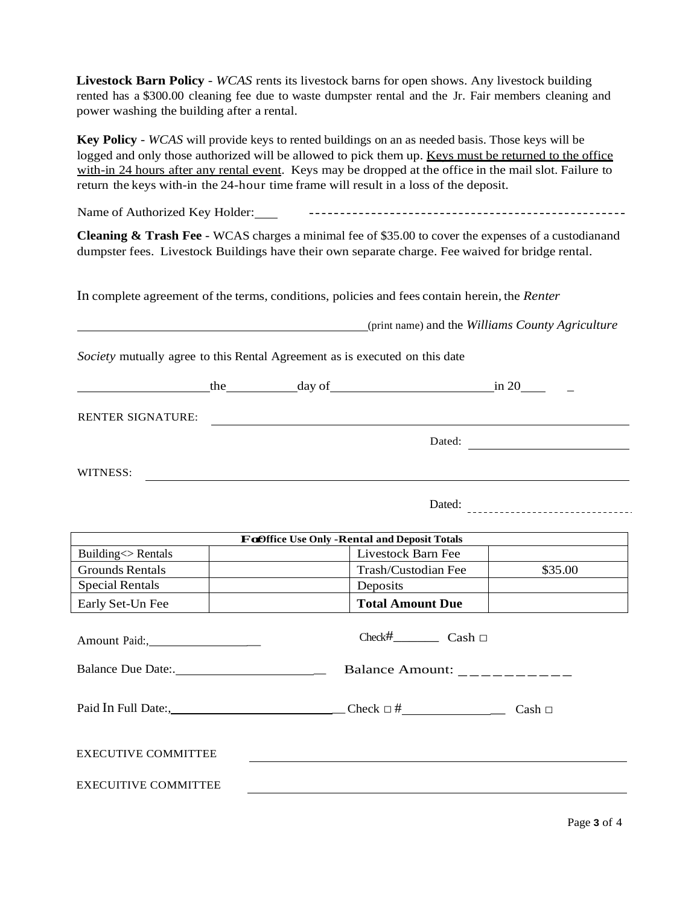**Livestock Barn Policy** - *WCAS* rents its livestock barns for open shows. Any livestock building rented has a \$300.00 cleaning fee due to waste dumpster rental and the Jr. Fair members cleaning and power washing the building after a rental.

**Key Policy** - *WCAS* will provide keys to rented buildings on an as needed basis. Those keys will be logged and only those authorized will be allowed to pick them up. Keys must be returned to the office with-in 24 hours after any rental event. Keys may be dropped at the office in the mail slot. Failure to return the keys with-in the 24-hour time frame will result in a loss of the deposit.

Name of Authorized Key Holder:

**Cleaning & Trash Fee** - WCAS charges a minimal fee of \$35.00 to cover the expenses of a custodianand dumpster fees. Livestock Buildings have their own separate charge. Fee waived for bridge rental.

In complete agreement of the terms, conditions, policies and fees contain herein, the *Renter*

(print name) and the *Williams County Agriculture*

*Society* mutually agree to this Rental Agreement as is executed on this date

the day of in 20 \_

RENTER SIGNATURE:

Dated:

WITNESS:

Dated:

| For Office Use Only - Rental and Deposit Totals           |                                                                                                                                                                                                                                                                                                                   |         |  |  |
|-----------------------------------------------------------|-------------------------------------------------------------------------------------------------------------------------------------------------------------------------------------------------------------------------------------------------------------------------------------------------------------------|---------|--|--|
| Building <> Rentals                                       | Livestock Barn Fee                                                                                                                                                                                                                                                                                                |         |  |  |
| <b>Grounds Rentals</b>                                    | Trash/Custodian Fee                                                                                                                                                                                                                                                                                               | \$35.00 |  |  |
| <b>Special Rentals</b>                                    | Deposits                                                                                                                                                                                                                                                                                                          |         |  |  |
| Early Set-Un Fee                                          | <b>Total Amount Due</b>                                                                                                                                                                                                                                                                                           |         |  |  |
| Amount Paid:,                                             | Balance Amount: $\frac{1}{2}$ $\frac{1}{2}$ $\frac{1}{2}$ $\frac{1}{2}$ $\frac{1}{2}$ $\frac{1}{2}$ $\frac{1}{2}$ $\frac{1}{2}$ $\frac{1}{2}$ $\frac{1}{2}$ $\frac{1}{2}$ $\frac{1}{2}$ $\frac{1}{2}$ $\frac{1}{2}$ $\frac{1}{2}$ $\frac{1}{2}$ $\frac{1}{2}$ $\frac{1}{2}$ $\frac{1}{2}$ $\frac{1}{2}$ $\frac{1$ |         |  |  |
|                                                           | Paid In Full Date:, Cash $\Box$                                                                                                                                                                                                                                                                                   |         |  |  |
| <b>EXECUTIVE COMMITTEE</b><br><b>EXECUITIVE COMMITTEE</b> |                                                                                                                                                                                                                                                                                                                   |         |  |  |
|                                                           |                                                                                                                                                                                                                                                                                                                   |         |  |  |